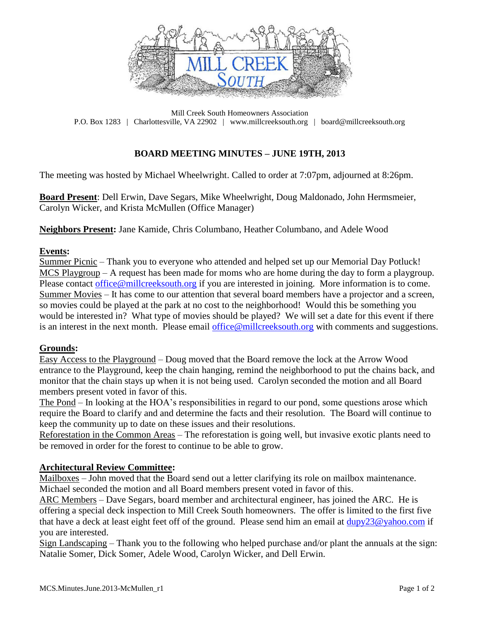

Mill Creek South Homeowners Association P.O. Box 1283 | Charlottesville, VA 22902 | www.millcreeksouth.org | board@millcreeksouth.org

# **BOARD MEETING MINUTES – JUNE 19TH, 2013**

The meeting was hosted by Michael Wheelwright. Called to order at 7:07pm, adjourned at 8:26pm.

**Board Present**: Dell Erwin, Dave Segars, Mike Wheelwright, Doug Maldonado, John Hermsmeier, Carolyn Wicker, and Krista McMullen (Office Manager)

**Neighbors Present:** Jane Kamide, Chris Columbano, Heather Columbano, and Adele Wood

### **Events:**

Summer Picnic – Thank you to everyone who attended and helped set up our Memorial Day Potluck! MCS Playgroup – A request has been made for moms who are home during the day to form a playgroup. Please contact [office@millcreeksouth.org](mailto:office@millcreeksouth.org) if you are interested in joining. More information is to come. Summer Movies – It has come to our attention that several board members have a projector and a screen, so movies could be played at the park at no cost to the neighborhood! Would this be something you would be interested in? What type of movies should be played? We will set a date for this event if there is an interest in the next month. Please email [office@millcreeksouth.org](mailto:office@millcreeksouth.org) with comments and suggestions.

### **Grounds:**

Easy Access to the Playground – Doug moved that the Board remove the lock at the Arrow Wood entrance to the Playground, keep the chain hanging, remind the neighborhood to put the chains back, and monitor that the chain stays up when it is not being used. Carolyn seconded the motion and all Board members present voted in favor of this.

The Pond – In looking at the HOA's responsibilities in regard to our pond, some questions arose which require the Board to clarify and and determine the facts and their resolution. The Board will continue to keep the community up to date on these issues and their resolutions.

Reforestation in the Common Areas – The reforestation is going well, but invasive exotic plants need to be removed in order for the forest to continue to be able to grow.

### **Architectural Review Committee:**

Mailboxes – John moved that the Board send out a letter clarifying its role on mailbox maintenance. Michael seconded the motion and all Board members present voted in favor of this.

ARC Members – Dave Segars, board member and architectural engineer, has joined the ARC. He is offering a special deck inspection to Mill Creek South homeowners. The offer is limited to the first five that have a deck at least eight feet off of the ground. Please send him an email at  $\frac{dupy}{23@yahoo.com}$  if you are interested.

Sign Landscaping – Thank you to the following who helped purchase and/or plant the annuals at the sign: Natalie Somer, Dick Somer, Adele Wood, Carolyn Wicker, and Dell Erwin.